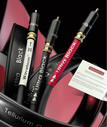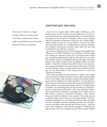

**The topic of cables can trigger strange reflexes in some people. Even today, claiming that cables might sound different can still spark the most heated of arguments.**



## Just trust your own ears

And yet it's so simple: either cables make a difference to the sound or they do not. And hey, you can easily just try it out. Sonic benefits may have a purely physical basis, for example better screening, the use of superior materials, or they create a synergy with the connected components which you can't readily understand, perhaps because it's not possible to measure the effect with the usual methods. So I would just like to appeal to all skeptics, doubters and pseudo-scientists: relax, open your ears and lay disbelief to one side for a moment.

Just such an experience led to the founding of the English firm Tellurium Q in 2009. Tellurium Q's president Geoff Merrigan was working as a business advisor for a recording studio which was considering replacing the cables because they were not satisfied with the sound. As a qualified chemist, Merrigan was of the opinion that cables could not have the slightest effect on sound quality – either they worked or they didn't. However, he was proven wrong, and founded a business based on this lesson. He took on board Simon Lomax, an experienced music producer, whose ears are the final arbiter in the tuning process of every new Tellurium Q product.

Before they brought the first product to market, they tested every last detail of cable production, from cable structure right down to the solder. After extensive research and endless experiments, the first Tellurium Q cable, the Black, was introduced in 2010, and since then has won award after award. Incidentally, tellurium itself is a rare chemical element and the 'Q'simply stands for quality. The marketing claim for their products is "Audio products to combat phase distortion" – they start with phase distortion and attempt to minimize it. Merrigan says "A cable acts as a filter. When a signal is transmitted through a cable, various frequencies shift in relation to one another. The result may be compared with trying to look out of a frosted window. The technological challenge is to neutralise this filtering effect through the use of suitable materials, handling processes and cable geometries, such that a more natural open sound occurs – until you have a clear window, to stick with the analogy." At Tellurium Q, they even go so far as to consider precisely what a signal actually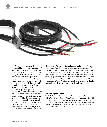



is. The preliminary answer is that we' re not talking about a constant flow of electrons, as it is over-simplistically presented in school physics. According to Merrigan, the electrons (for which the description "particles" is also only one model) actually travel considerably slower than previously thought – and at differing speeds. No wonder, then, that "signals" can become muddied and smeared.

In this way the Englishmen attempt to penetrate ever deeper into this far from banal subject area to arrive at the ideal synergy of all materials in the signal path. That involves understanding which material, in what quantity, in which position, and how it is incorporated, will play the desired role in achieving the overall synergistic result. Though as to exactly which materials are used, Tellurium Q remain pretty tight-lipped. There are three ways of dealing with this question: say nothing, tell all, or give away just a little information.At a guess, I'd say 90% of companies would go with the "partial disclosure" option, although I can imagine that the exact amount of information disclosed would vary greatly from one firm to another. So what should we make of Tellurium Q's stance? I find it appealing and 100% understandable. Why? On the one hand, Merrigan hopes that his competitors will at least buy his cables, disassemble them and

## **Partnering equipment**

**Turntable:** Pear audio Captain John Handy **Tone arm:** Pear audio Cornet 1 **Cartridge:** Grado Reference Sonata 2, Decca Professional **CD transport:** Philips CDM 4/19 modifiziert **DAC:** Tobian Dac T7 **Integrated amplifier:** Accuphase E-260, Soulnote SC710 **Loudspeakers:** Wolf von Langa Son, Suesskind Audio Phänomen **Cables:** Lautsprecherkabel Belden 9497 und Audio Consulting, Audio Consulting, Funk Tonstudiotechnik, Lencomotion NF-Kabel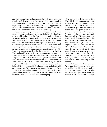analyse them, rather than have the details of all his development simply handed to them on a silver platter. On the other hand, he is appealing to our ears as opposed to our reasoning. Potential buyers may often have preconceived ideas about copper or silver or solid core conductor versus braided. Tellurium Q rejects all that as well as the speculation raised in marketing.

A couple of years ago, my esteemed colleague Alexander Draczynski wrote enthusiastically about the Tellurium Q Ultra Black speaker cables. Since then I've had the opportunity to listen to various cables by Tellurium Q, either at shows or whilst reviewing, and I was always quite taken with them, regardless of which model.At the 2016 "Norddeutsche Hifi-Tage"hi-fi show in Hamburg, Geoff Merrigan personally recommended the Ultra Blacks after analyzing my system components, and who am I to disagree? Therefore I accepted the recommendation, complemented by Ultra Black interconnects, as well as the digital cable (only available as Black and not Ultra Black). It was important to me to connect up my system exclusively with Tellurium Q cables in order to avoid the possibility of any effects due to mixing cables of different concepts. The Ultra Black speaker cable has two solid core conductors spaced at a constant distance from each other along the entire length of cable, fitted with hollow banana plugs at each end, as I believe DNM previously did. The interconnects and digital cable are equipped with Tellurium Q's own plugs and sleeves, similar to the WBT connectors but with the difference that these sleeves are plastic. I find it sensible and good that the Englishmen make you aware that these should not be done up too tightly.

I've been able to listen to the Ultra Black/Black cable combination in my system for several months now. H.E.A.R Distribution Director Arnd Rischmüller gave me the choice of brand-new or previously run-in cables. I chose the brand new option. This gave me the opportunity to familiarize myself with Tellurium Q's burnin CD, which delivers a kind of intelligent "fitness programme" for each and every frequency range in an unusual sequence. Does it work? You betcha! Normally I use either a classic braided cable by Belden, which in the hi-fi scene is generally regarded as a good value no-nonsense cable for valve amps and high efficiency speakers; or the highly musical solid core copper cables from Audio Consulting in Switzerland.

I won't beat about the bush: the Tellurium Q cables are far better than mine. Why? It's this coherence and yet simultaneous improvement in resolution. Usually you gain one at the expense of the other, but not here. By compa-